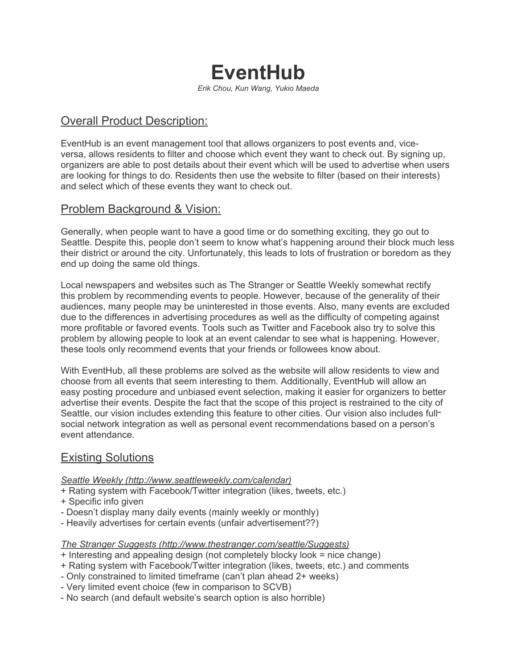# **EventHub**

*Erik Chou, Kun Wang, Yukio Maeda*

# Overall Product Description:

EventHub is an event management tool that allows organizers to post events and, viceversa, allows residents to filter and choose which event they want to check out. By signing up, organizers are able to post details about their event which will be used to advertise when users are looking for things to do. Residents then use the website to filter (based on their interests) and select which of these events they want to check out.

### Problem Background & Vision:

Generally, when people want to have a good time or do something exciting, they go out to Seattle. Despite this, people don't seem to know what's happening around their block much less their district or around the city. Unfortunately, this leads to lots of frustration or boredom as they end up doing the same old things.

Local newspapers and websites such as The Stranger or Seattle Weekly somewhat rectify this problem by recommending events to people. However, because of the generality of their audiences, many people may be uninterested in those events. Also, many events are excluded due to the differences in advertising procedures as well as the difficulty of competing against more profitable or favored events. Tools such as Twitter and Facebook also try to solve this problem by allowing people to look at an event calendar to see what is happening. However, these tools only recommend events that your friends or followees know about.

With EventHub, all these problems are solved as the website will allow residents to view and choose from all events that seem interesting to them. Additionally, EventHub will allow an easy posting procedure and unbiased event selection, making it easier for organizers to better advertise their events. Despite the fact that the scope of this project is restrained to the city of Seattle, our vision includes extending this feature to other cities. Our vision also includes fullsocial network integration as well as personal event recommendations based on a person's event attendance.

## Existing Solutions

*Seattle Weekly [\(http://www.seattleweekly.com/](http://www.seattleperforms.com/)calendar)*

- + Rating system with Facebook/Twitter integration (likes, tweets, etc.)
- + Specific info given
- Doesn't display many daily events (mainly weekly or monthly)
- Heavily advertises for certain events (unfair advertisement??)

*The Stranger Suggests (<http://www.thestranger.com/seattle/Suggests>)*

- + Interesting and appealing design (not completely blocky look = nice change)
- + Rating system with Facebook/Twitter integration (likes, tweets, etc.) and comments
- Only constrained to limited timeframe (can't plan ahead 2+ weeks)
- Very limited event choice (few in comparison to SCVB)
- No search (and default website's search option is also horrible)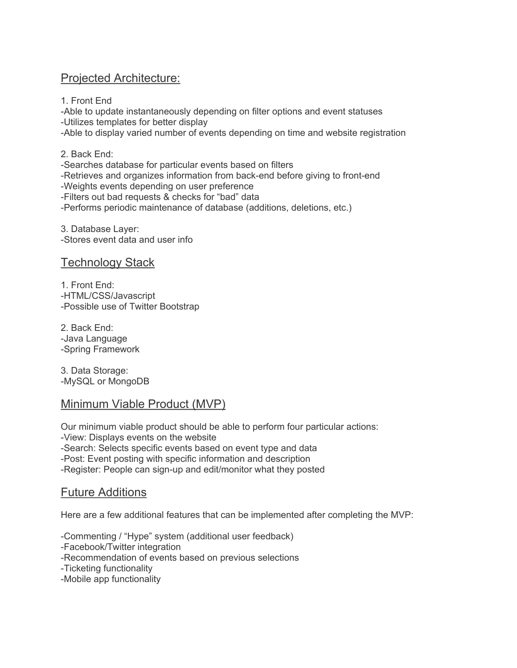## Projected Architecture:

1. Front End -Able to update instantaneously depending on filter options and event statuses -Utilizes templates for better display -Able to display varied number of events depending on time and website registration

2. Back End: -Searches database for particular events based on filters -Retrieves and organizes information from back-end before giving to front-end -Weights events depending on user preference -Filters out bad requests & checks for "bad" data -Performs periodic maintenance of database (additions, deletions, etc.)

3. Database Layer: -Stores event data and user info

#### Technology Stack

1. Front End: -HTML/CSS/Javascript -Possible use of Twitter Bootstrap

2. Back End: -Java Language -Spring Framework

3. Data Storage: -MySQL or MongoDB

#### Minimum Viable Product (MVP)

Our minimum viable product should be able to perform four particular actions: -View: Displays events on the website -Search: Selects specific events based on event type and data -Post: Event posting with specific information and description -Register: People can sign-up and edit/monitor what they posted

# Future Additions

Here are a few additional features that can be implemented after completing the MVP:

-Commenting / "Hype" system (additional user feedback) -Facebook/Twitter integration -Recommendation of events based on previous selections -Ticketing functionality -Mobile app functionality